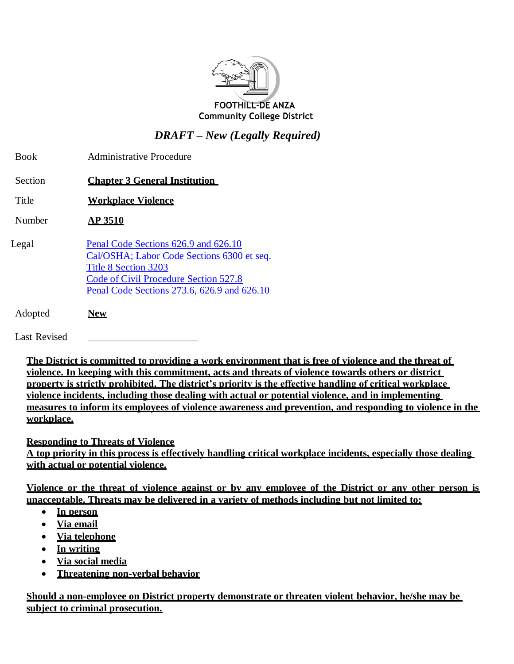

*DRAFT – New (Legally Required)*

| <b>Book</b> | <b>Administrative Procedure</b>                                                                                                                                                                    |
|-------------|----------------------------------------------------------------------------------------------------------------------------------------------------------------------------------------------------|
| Section     | <b>Chapter 3 General Institution</b>                                                                                                                                                               |
| Title       | <b>Workplace Violence</b>                                                                                                                                                                          |
| Number      | <b>AP 3510</b>                                                                                                                                                                                     |
| Legal       | Penal Code Sections 626.9 and 626.10<br>Cal/OSHA; Labor Code Sections 6300 et seq.<br>Title 8 Section 3203<br>Code of Civil Procedure Section 527.8<br>Penal Code Sections 273.6, 626.9 and 626.10 |
| Adopted     | New                                                                                                                                                                                                |

Last Revised

**The District is committed to providing a work environment that is free of violence and the threat of violence. In keeping with this commitment, acts and threats of violence towards others or district property is strictly prohibited. The district's priority is the effective handling of critical workplace violence incidents, including those dealing with actual or potential violence, and in implementing measures to inform its employees of violence awareness and prevention, and responding to violence in the workplace.**

**Responding to Threats of Violence A top priority in this process is effectively handling critical workplace incidents, especially those dealing with actual or potential violence.**

**Violence or the threat of violence against or by any employee of the District or any other person is unacceptable. Threats may be delivered in a variety of methods including but not limited to:**

- **In person**
- **Via email**
- **Via telephone**
- **In writing**
- **Via social media**
- **Threatening non-verbal behavior**

**Should a non-employee on District property demonstrate or threaten violent behavior, he/she may be subject to criminal prosecution.**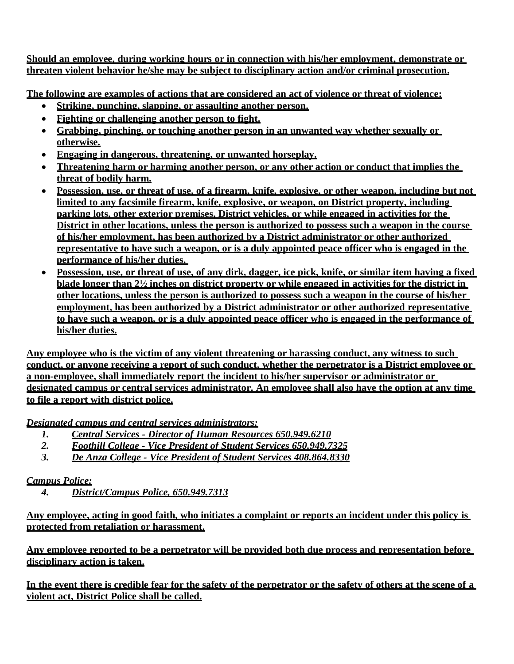**Should an employee, during working hours or in connection with his/her employment, demonstrate or threaten violent behavior he/she may be subject to disciplinary action and/or criminal prosecution.**

**The following are examples of actions that are considered an act of violence or threat of violence:**

- **Striking, punching, slapping, or assaulting another person.**
- **Fighting or challenging another person to fight.**
- **Grabbing, pinching, or touching another person in an unwanted way whether sexually or otherwise.**
- **Engaging in dangerous, threatening, or unwanted horseplay.**
- **Threatening harm or harming another person, or any other action or conduct that implies the threat of bodily harm.**
- **Possession, use, or threat of use, of a firearm, knife, explosive, or other weapon, including but not limited to any facsimile firearm, knife, explosive, or weapon, on District property, including parking lots, other exterior premises, District vehicles, or while engaged in activities for the District in other locations, unless the person is authorized to possess such a weapon in the course of his/her employment, has been authorized by a District administrator or other authorized representative to have such a weapon, or is a duly appointed peace officer who is engaged in the performance of his/her duties.**
- **Possession, use, or threat of use, of any dirk, dagger, ice pick, knife, or similar item having a fixed blade longer than 2½ inches on district property or while engaged in activities for the district in other locations, unless the person is authorized to possess such a weapon in the course of his/her employment, has been authorized by a District administrator or other authorized representative to have such a weapon, or is a duly appointed peace officer who is engaged in the performance of his/her duties.**

**Any employee who is the victim of any violent threatening or harassing conduct, any witness to such conduct, or anyone receiving a report of such conduct, whether the perpetrator is a District employee or a non-employee, shall immediately report the incident to his/her supervisor or administrator or designated campus or central services administrator. An employee shall also have the option at any time to file a report with district police.**

*Designated campus and central services administrators:*

- *1. Central Services - Director of Human Resources 650.949.6210*
- *2. Foothill College - Vice President of Student Services 650.949.7325*
- *3. De Anza College - Vice President of Student Services 408.864.8330*

## *Campus Police:*

*4. District/Campus Police, 650.949.7313*

**Any employee, acting in good faith, who initiates a complaint or reports an incident under this policy is protected from retaliation or harassment.**

**Any employee reported to be a perpetrator will be provided both due process and representation before disciplinary action is taken.**

**In the event there is credible fear for the safety of the perpetrator or the safety of others at the scene of a violent act, District Police shall be called.**